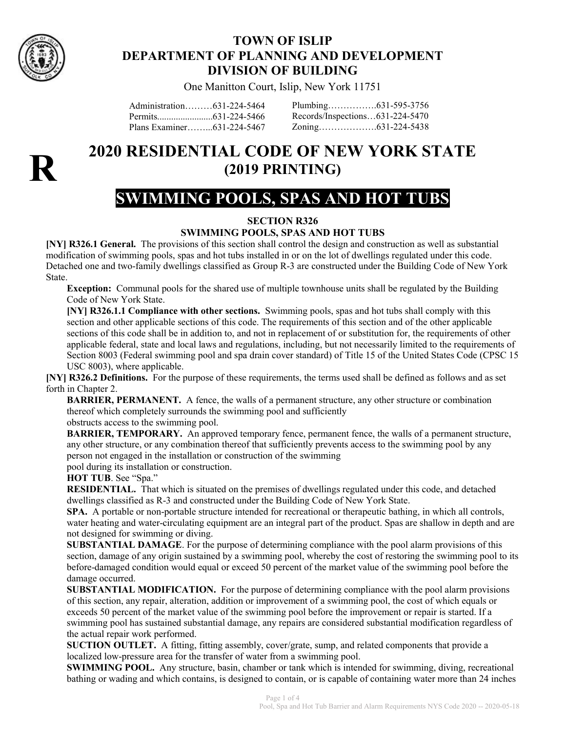

### TOWN OF ISLIP DEPARTMENT OF PLANNING AND DEVELOPMENT DIVISION OF BUILDING

One Manitton Court, Islip, New York 11751

Administration………631-224-5464 Permits........................631-224-5466 Plans Examiner……...631-224-5467 Plumbing…………….631-595-3756 Records/Inspections…631-224-5470 Zoning……………….631-224-5438



## 2020 RESIDENTIAL CODE OF NEW YORK STATE (2019 PRINTING)

# SWIMMING POOLS, SPAS AND HOT TUBS

### SECTION R326

#### SWIMMING POOLS, SPAS AND HOT TUBS

[NY] R326.1 General. The provisions of this section shall control the design and construction as well as substantial modification of swimming pools, spas and hot tubs installed in or on the lot of dwellings regulated under this code. Detached one and two-family dwellings classified as Group R-3 are constructed under the Building Code of New York State.

Exception: Communal pools for the shared use of multiple townhouse units shall be regulated by the Building Code of New York State.

[NY] R326.1.1 Compliance with other sections. Swimming pools, spas and hot tubs shall comply with this section and other applicable sections of this code. The requirements of this section and of the other applicable sections of this code shall be in addition to, and not in replacement of or substitution for, the requirements of other applicable federal, state and local laws and regulations, including, but not necessarily limited to the requirements of Section 8003 (Federal swimming pool and spa drain cover standard) of Title 15 of the United States Code (CPSC 15 USC 8003), where applicable.

[NY] R326.2 Definitions. For the purpose of these requirements, the terms used shall be defined as follows and as set forth in Chapter 2.

BARRIER, PERMANENT. A fence, the walls of a permanent structure, any other structure or combination thereof which completely surrounds the swimming pool and sufficiently

obstructs access to the swimming pool.

BARRIER, TEMPORARY. An approved temporary fence, permanent fence, the walls of a permanent structure, any other structure, or any combination thereof that sufficiently prevents access to the swimming pool by any person not engaged in the installation or construction of the swimming

pool during its installation or construction.

HOT TUB. See "Spa."

RESIDENTIAL. That which is situated on the premises of dwellings regulated under this code, and detached dwellings classified as R-3 and constructed under the Building Code of New York State.

SPA. A portable or non-portable structure intended for recreational or therapeutic bathing, in which all controls, water heating and water-circulating equipment are an integral part of the product. Spas are shallow in depth and are not designed for swimming or diving.

SUBSTANTIAL DAMAGE. For the purpose of determining compliance with the pool alarm provisions of this section, damage of any origin sustained by a swimming pool, whereby the cost of restoring the swimming pool to its before-damaged condition would equal or exceed 50 percent of the market value of the swimming pool before the damage occurred.

SUBSTANTIAL MODIFICATION. For the purpose of determining compliance with the pool alarm provisions of this section, any repair, alteration, addition or improvement of a swimming pool, the cost of which equals or exceeds 50 percent of the market value of the swimming pool before the improvement or repair is started. If a swimming pool has sustained substantial damage, any repairs are considered substantial modification regardless of the actual repair work performed.

SUCTION OUTLET. A fitting, fitting assembly, cover/grate, sump, and related components that provide a localized low-pressure area for the transfer of water from a swimming pool.

SWIMMING POOL. Any structure, basin, chamber or tank which is intended for swimming, diving, recreational bathing or wading and which contains, is designed to contain, or is capable of containing water more than 24 inches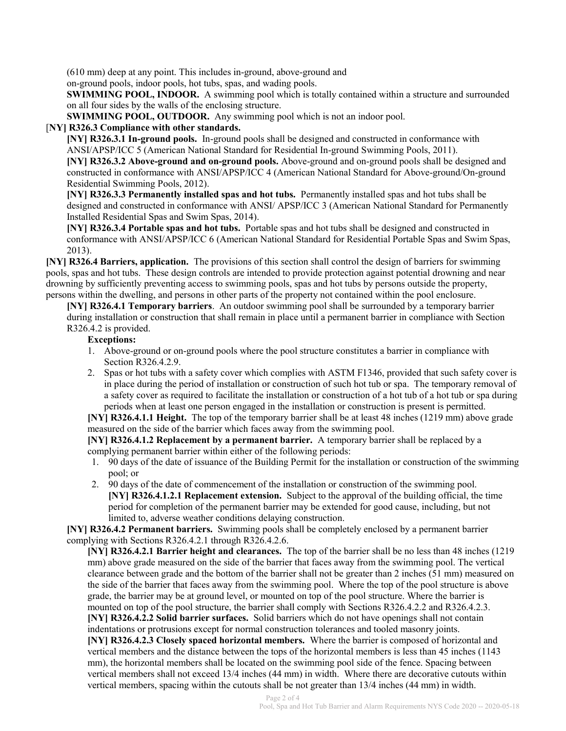(610 mm) deep at any point. This includes in-ground, above-ground and

on-ground pools, indoor pools, hot tubs, spas, and wading pools.

SWIMMING POOL, INDOOR. A swimming pool which is totally contained within a structure and surrounded on all four sides by the walls of the enclosing structure.

SWIMMING POOL, OUTDOOR. Any swimming pool which is not an indoor pool.

#### [NY] R326.3 Compliance with other standards.

[NY] R326.3.1 In-ground pools. In-ground pools shall be designed and constructed in conformance with ANSI/APSP/ICC 5 (American National Standard for Residential In-ground Swimming Pools, 2011). [NY] R326.3.2 Above-ground and on-ground pools. Above-ground and on-ground pools shall be designed and

constructed in conformance with ANSI/APSP/ICC 4 (American National Standard for Above-ground/On-ground Residential Swimming Pools, 2012).

[NY] R326.3.3 Permanently installed spas and hot tubs. Permanently installed spas and hot tubs shall be designed and constructed in conformance with ANSI/ APSP/ICC 3 (American National Standard for Permanently Installed Residential Spas and Swim Spas, 2014).

[NY] R326.3.4 Portable spas and hot tubs. Portable spas and hot tubs shall be designed and constructed in conformance with ANSI/APSP/ICC 6 (American National Standard for Residential Portable Spas and Swim Spas, 2013).

[NY] R326.4 Barriers, application. The provisions of this section shall control the design of barriers for swimming pools, spas and hot tubs. These design controls are intended to provide protection against potential drowning and near drowning by sufficiently preventing access to swimming pools, spas and hot tubs by persons outside the property, persons within the dwelling, and persons in other parts of the property not contained within the pool enclosure.

[NY] R326.4.1 Temporary barriers. An outdoor swimming pool shall be surrounded by a temporary barrier during installation or construction that shall remain in place until a permanent barrier in compliance with Section R326.4.2 is provided.

#### Exceptions:

- 1. Above-ground or on-ground pools where the pool structure constitutes a barrier in compliance with Section R326.4.2.9.
- 2. Spas or hot tubs with a safety cover which complies with ASTM F1346, provided that such safety cover is in place during the period of installation or construction of such hot tub or spa. The temporary removal of a safety cover as required to facilitate the installation or construction of a hot tub of a hot tub or spa during periods when at least one person engaged in the installation or construction is present is permitted.

[NY] R326.4.1.1 Height. The top of the temporary barrier shall be at least 48 inches (1219 mm) above grade measured on the side of the barrier which faces away from the swimming pool.

[NY] R326.4.1.2 Replacement by a permanent barrier. A temporary barrier shall be replaced by a complying permanent barrier within either of the following periods:

- 1. 90 days of the date of issuance of the Building Permit for the installation or construction of the swimming pool; or
- 2. 90 days of the date of commencement of the installation or construction of the swimming pool. [NY] R326.4.1.2.1 Replacement extension. Subject to the approval of the building official, the time period for completion of the permanent barrier may be extended for good cause, including, but not limited to, adverse weather conditions delaying construction.

[NY] R326.4.2 Permanent barriers. Swimming pools shall be completely enclosed by a permanent barrier complying with Sections R326.4.2.1 through R326.4.2.6.

[NY] R326.4.2.1 Barrier height and clearances. The top of the barrier shall be no less than 48 inches (1219 mm) above grade measured on the side of the barrier that faces away from the swimming pool. The vertical clearance between grade and the bottom of the barrier shall not be greater than 2 inches (51 mm) measured on the side of the barrier that faces away from the swimming pool. Where the top of the pool structure is above grade, the barrier may be at ground level, or mounted on top of the pool structure. Where the barrier is mounted on top of the pool structure, the barrier shall comply with Sections R326.4.2.2 and R326.4.2.3. [NY] R326.4.2.2 Solid barrier surfaces. Solid barriers which do not have openings shall not contain indentations or protrusions except for normal construction tolerances and tooled masonry joints. [NY] R326.4.2.3 Closely spaced horizontal members. Where the barrier is composed of horizontal and vertical members and the distance between the tops of the horizontal members is less than 45 inches (1143 mm), the horizontal members shall be located on the swimming pool side of the fence. Spacing between vertical members shall not exceed 13/4 inches (44 mm) in width. Where there are decorative cutouts within vertical members, spacing within the cutouts shall be not greater than 13/4 inches (44 mm) in width.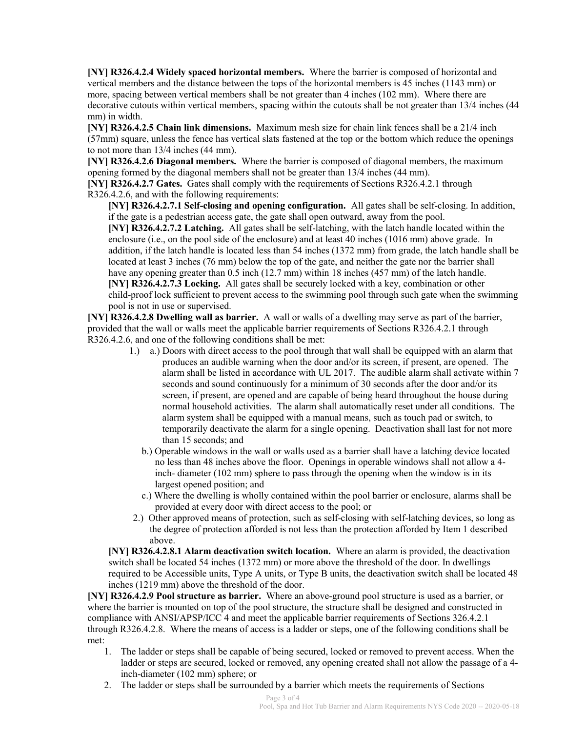[NY] R326.4.2.4 Widely spaced horizontal members. Where the barrier is composed of horizontal and vertical members and the distance between the tops of the horizontal members is 45 inches (1143 mm) or more, spacing between vertical members shall be not greater than 4 inches (102 mm). Where there are decorative cutouts within vertical members, spacing within the cutouts shall be not greater than 13/4 inches (44 mm) in width.

[NY] R326.4.2.5 Chain link dimensions. Maximum mesh size for chain link fences shall be a 21/4 inch (57mm) square, unless the fence has vertical slats fastened at the top or the bottom which reduce the openings to not more than 13/4 inches (44 mm).

[NY] R326.4.2.6 Diagonal members. Where the barrier is composed of diagonal members, the maximum opening formed by the diagonal members shall not be greater than 13/4 inches (44 mm).

[NY] R326.4.2.7 Gates. Gates shall comply with the requirements of Sections R326.4.2.1 through R326.4.2.6, and with the following requirements:

[NY] R326.4.2.7.1 Self-closing and opening configuration. All gates shall be self-closing. In addition, if the gate is a pedestrian access gate, the gate shall open outward, away from the pool. [NY] R326.4.2.7.2 Latching. All gates shall be self-latching, with the latch handle located within the enclosure (i.e., on the pool side of the enclosure) and at least 40 inches (1016 mm) above grade. In addition, if the latch handle is located less than 54 inches (1372 mm) from grade, the latch handle shall be located at least 3 inches (76 mm) below the top of the gate, and neither the gate nor the barrier shall have any opening greater than 0.5 inch (12.7 mm) within 18 inches (457 mm) of the latch handle. [NY] R326.4.2.7.3 Locking. All gates shall be securely locked with a key, combination or other child-proof lock sufficient to prevent access to the swimming pool through such gate when the swimming pool is not in use or supervised.

[NY] R326.4.2.8 Dwelling wall as barrier. A wall or walls of a dwelling may serve as part of the barrier, provided that the wall or walls meet the applicable barrier requirements of Sections R326.4.2.1 through R326.4.2.6, and one of the following conditions shall be met:

- 1.) a.) Doors with direct access to the pool through that wall shall be equipped with an alarm that produces an audible warning when the door and/or its screen, if present, are opened. The alarm shall be listed in accordance with UL 2017. The audible alarm shall activate within 7 seconds and sound continuously for a minimum of 30 seconds after the door and/or its screen, if present, are opened and are capable of being heard throughout the house during normal household activities. The alarm shall automatically reset under all conditions. The alarm system shall be equipped with a manual means, such as touch pad or switch, to temporarily deactivate the alarm for a single opening. Deactivation shall last for not more than 15 seconds; and
	- b.) Operable windows in the wall or walls used as a barrier shall have a latching device located no less than 48 inches above the floor. Openings in operable windows shall not allow a 4 inch- diameter (102 mm) sphere to pass through the opening when the window is in its largest opened position; and
	- c.) Where the dwelling is wholly contained within the pool barrier or enclosure, alarms shall be provided at every door with direct access to the pool; or
- 2.) Other approved means of protection, such as self-closing with self-latching devices, so long as the degree of protection afforded is not less than the protection afforded by Item 1 described above.

[NY] R326.4.2.8.1 Alarm deactivation switch location. Where an alarm is provided, the deactivation switch shall be located 54 inches (1372 mm) or more above the threshold of the door. In dwellings required to be Accessible units, Type A units, or Type B units, the deactivation switch shall be located 48 inches (1219 mm) above the threshold of the door.

[NY] R326.4.2.9 Pool structure as barrier. Where an above-ground pool structure is used as a barrier, or where the barrier is mounted on top of the pool structure, the structure shall be designed and constructed in compliance with ANSI/APSP/ICC 4 and meet the applicable barrier requirements of Sections 326.4.2.1 through R326.4.2.8. Where the means of access is a ladder or steps, one of the following conditions shall be met:

- 1. The ladder or steps shall be capable of being secured, locked or removed to prevent access. When the ladder or steps are secured, locked or removed, any opening created shall not allow the passage of a 4 inch-diameter (102 mm) sphere; or
- 2. The ladder or steps shall be surrounded by a barrier which meets the requirements of Sections